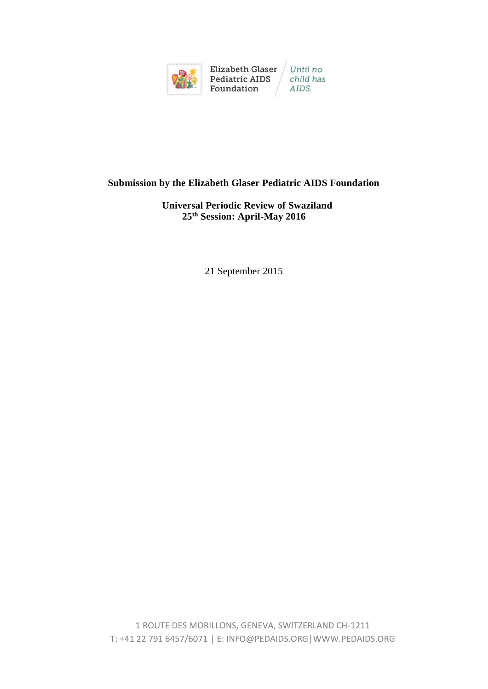

## **Submission by the Elizabeth Glaser Pediatric AIDS Foundation**

## **Universal Periodic Review of Swaziland 25th Session: April-May 2016**

21 September 2015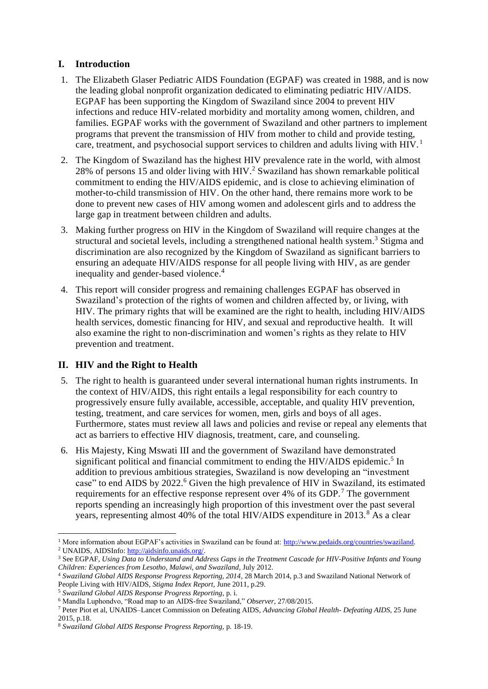# **I. Introduction**

- 1. The Elizabeth Glaser Pediatric AIDS Foundation (EGPAF) was created in 1988, and is now the leading global nonprofit organization dedicated to eliminating pediatric HIV/AIDS. EGPAF has been supporting the Kingdom of Swaziland since 2004 to prevent HIV infections and reduce HIV-related morbidity and mortality among women, children, and families. EGPAF works with the government of Swaziland and other partners to implement programs that prevent the transmission of HIV from mother to child and provide testing, care, treatment, and psychosocial support services to children and adults living with HIV.<sup>1</sup>
- 2. The Kingdom of Swaziland has the highest HIV prevalence rate in the world, with almost 28% of persons 15 and older living with HIV.<sup>2</sup> Swaziland has shown remarkable political commitment to ending the HIV/AIDS epidemic, and is close to achieving elimination of mother-to-child transmission of HIV. On the other hand, there remains more work to be done to prevent new cases of HIV among women and adolescent girls and to address the large gap in treatment between children and adults.
- 3. Making further progress on HIV in the Kingdom of Swaziland will require changes at the structural and societal levels, including a strengthened national health system.<sup>3</sup> Stigma and discrimination are also recognized by the Kingdom of Swaziland as significant barriers to ensuring an adequate HIV/AIDS response for all people living with HIV, as are gender inequality and gender-based violence.<sup>4</sup>
- 4. This report will consider progress and remaining challenges EGPAF has observed in Swaziland's protection of the rights of women and children affected by, or living, with HIV. The primary rights that will be examined are the right to health, including HIV/AIDS health services, domestic financing for HIV, and sexual and reproductive health. It will also examine the right to non-discrimination and women's rights as they relate to HIV prevention and treatment.

## **II. HIV and the Right to Health**

- 5. The right to health is guaranteed under several international human rights instruments. In the context of HIV/AIDS, this right entails a legal responsibility for each country to progressively ensure fully available, accessible, acceptable, and quality HIV prevention, testing, treatment, and care services for women, men, girls and boys of all ages. Furthermore, states must review all laws and policies and revise or repeal any elements that act as barriers to effective HIV diagnosis, treatment, care, and counseling.
- 6. His Majesty, King Mswati III and the government of Swaziland have demonstrated significant political and financial commitment to ending the HIV/AIDS epidemic.<sup>5</sup> In addition to previous ambitious strategies, Swaziland is now developing an "investment case" to end AIDS by 2022. <sup>6</sup> Given the high prevalence of HIV in Swaziland, its estimated requirements for an effective response represent over 4% of its GDP.<sup>7</sup> The government reports spending an increasingly high proportion of this investment over the past several years, representing almost 40% of the total HIV/AIDS expenditure in 2013.<sup>8</sup> As a clear
- <sup>1</sup> More information about EGPAF's activities in Swaziland can be found at: [http://www.pedaids.org/countries/swaziland.](http://www.pedaids.org/countries/swaziland) <sup>2</sup> UNAIDS, AIDSInfo[: http://aidsinfo.unaids.org/.](http://aidsinfo.unaids.org/)

<sup>3</sup> See EGPAF, *Using Data to Understand and Address Gaps in the Treatment Cascade for HIV-Positive Infants and Young Children: Experiences from Lesotho, Malawi, and Swaziland,* July 2012.

<sup>4</sup> *Swaziland Global AIDS Response Progress Reporting, 2014,* 28 March 2014, p.3 and Swaziland National Network of People Living with HIV/AIDS, *Stigma Index Report,* June 2011, p.29.

<sup>5</sup> *Swaziland Global AIDS Response Progress Reporting,* p. i.

<sup>6</sup> Mandla Luphondvo, "Road map to an AIDS-free Swaziland," *Observer*, 27/08/2015.

<sup>7</sup> Peter Piot et al, UNAIDS–Lancet Commission on Defeating AIDS, *Advancing Global Health- Defeating AIDS,* 25 June 2015, p.18.

<sup>8</sup> *Swaziland Global AIDS Response Progress Reporting,* p. 18-19.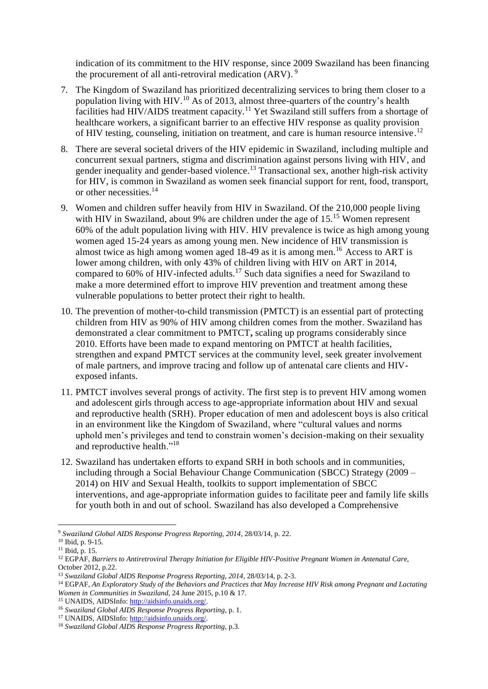indication of its commitment to the HIV response, since 2009 Swaziland has been financing the procurement of all anti-retroviral medication (ARV).<sup>9</sup>

- 7. The Kingdom of Swaziland has prioritized decentralizing services to bring them closer to a population living with HIV.<sup>10</sup> As of 2013, almost three-quarters of the country's health facilities had HIV/AIDS treatment capacity.<sup>11</sup> Yet Swaziland still suffers from a shortage of healthcare workers, a significant barrier to an effective HIV response as quality provision of HIV testing, counseling, initiation on treatment, and care is human resource intensive.<sup>12</sup>
- 8. There are several societal drivers of the HIV epidemic in Swaziland, including multiple and concurrent sexual partners, stigma and discrimination against persons living with HIV, and gender inequality and gender-based violence.<sup>13</sup> Transactional sex, another high-risk activity for HIV, is common in Swaziland as women seek financial support for rent, food, transport, or other necessities. 14
- 9. Women and children suffer heavily from HIV in Swaziland. Of the 210,000 people living with HIV in Swaziland, about 9% are children under the age of 15.<sup>15</sup> Women represent 60% of the adult population living with HIV. HIV prevalence is twice as high among young women aged 15-24 years as among young men. New incidence of HIV transmission is almost twice as high among women aged 18-49 as it is among men.<sup>16</sup> Access to ART is lower among children, with only 43% of children living with HIV on ART in 2014, compared to 60% of HIV-infected adults.<sup>17</sup> Such data signifies a need for Swaziland to make a more determined effort to improve HIV prevention and treatment among these vulnerable populations to better protect their right to health.
- 10. The prevention of mother-to-child transmission (PMTCT) is an essential part of protecting children from HIV as 90% of HIV among children comes from the mother. Swaziland has demonstrated a clear commitment to PMTCT**,** scaling up programs considerably since 2010. Efforts have been made to expand mentoring on PMTCT at health facilities, strengthen and expand PMTCT services at the community level, seek greater involvement of male partners, and improve tracing and follow up of antenatal care clients and HIVexposed infants.
- 11. PMTCT involves several prongs of activity. The first step is to prevent HIV among women and adolescent girls through access to age-appropriate information about HIV and sexual and reproductive health (SRH). Proper education of men and adolescent boys is also critical in an environment like the Kingdom of Swaziland, where "cultural values and norms uphold men's privileges and tend to constrain women's decision-making on their sexuality and reproductive health."<sup>18</sup>
- 12. Swaziland has undertaken efforts to expand SRH in both schools and in communities, including through a Social Behaviour Change Communication (SBCC) Strategy (2009 – 2014) on HIV and Sexual Health, toolkits to support implementation of SBCC interventions, and age-appropriate information guides to facilitate peer and family life skills for youth both in and out of school. Swaziland has also developed a Comprehensive

<sup>9</sup> *Swaziland Global AIDS Response Progress Reporting, 2014*, 28/03/14, p. 22.

<sup>10</sup> Ibid, p. 9-15.

<sup>11</sup> Ibid, p. 15.

<sup>12</sup> EGPAF, *Barriers to Antiretroviral Therapy Initiation for Eligible HIV-Positive Pregnant Women in Antenatal Car*e, October 2012, p.22.

<sup>13</sup> *Swaziland Global AIDS Response Progress Reporting, 2014*, 28/03/14, p. 2-3.

<sup>14</sup> EGPAF, *An Exploratory Study of the Behaviors and Practices that May Increase HIV Risk among Pregnant and Lactating Women in Communities in Swaziland*, 24 June 2015, p.10 & 17.

<sup>15</sup> UNAIDS, AIDSInfo[: http://aidsinfo.unaids.org/.](http://aidsinfo.unaids.org/)

<sup>16</sup> *Swaziland Global AIDS Response Progress Reporting*, p. 1.

<sup>&</sup>lt;sup>17</sup> UNAIDS, AIDSInfo[: http://aidsinfo.unaids.org/.](http://aidsinfo.unaids.org/)

<sup>18</sup> *Swaziland Global AIDS Response Progress Reporting*, p.3.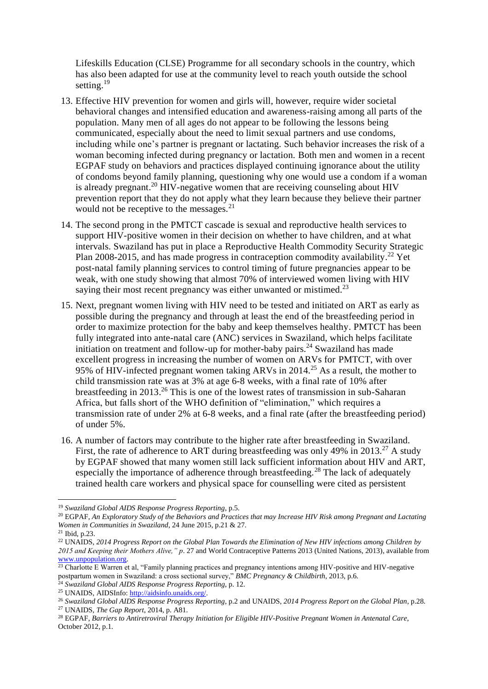Lifeskills Education (CLSE) Programme for all secondary schools in the country, which has also been adapted for use at the community level to reach youth outside the school setting.<sup>19</sup>

- 13. Effective HIV prevention for women and girls will, however, require wider societal behavioral changes and intensified education and awareness-raising among all parts of the population. Many men of all ages do not appear to be following the lessons being communicated, especially about the need to limit sexual partners and use condoms, including while one's partner is pregnant or lactating. Such behavior increases the risk of a woman becoming infected during pregnancy or lactation. Both men and women in a recent EGPAF study on behaviors and practices displayed continuing ignorance about the utility of condoms beyond family planning, questioning why one would use a condom if a woman is already pregnant.<sup>20</sup> HIV-negative women that are receiving counseling about HIV prevention report that they do not apply what they learn because they believe their partner would not be receptive to the messages. $^{21}$
- 14. The second prong in the PMTCT cascade is sexual and reproductive health services to support HIV-positive women in their decision on whether to have children, and at what intervals. Swaziland has put in place a Reproductive Health Commodity Security Strategic Plan 2008-2015, and has made progress in contraception commodity availability.<sup>22</sup> Yet post-natal family planning services to control timing of future pregnancies appear to be weak, with one study showing that almost 70% of interviewed women living with HIV saying their most recent pregnancy was either unwanted or mistimed.<sup>23</sup>
- 15. Next, pregnant women living with HIV need to be tested and initiated on ART as early as possible during the pregnancy and through at least the end of the breastfeeding period in order to maximize protection for the baby and keep themselves healthy. PMTCT has been fully integrated into ante-natal care (ANC) services in Swaziland, which helps facilitate initiation on treatment and follow-up for mother-baby pairs.<sup>24</sup> Swaziland has made excellent progress in increasing the number of women on ARVs for PMTCT, with over 95% of HIV-infected pregnant women taking ARVs in 2014.<sup>25</sup> As a result, the mother to child transmission rate was at 3% at age 6-8 weeks, with a final rate of 10% after breastfeeding in 2013. <sup>26</sup> This is one of the lowest rates of transmission in sub-Saharan Africa, but falls short of the WHO definition of "elimination," which requires a transmission rate of under 2% at 6-8 weeks, and a final rate (after the breastfeeding period) of under 5%.
- 16. A number of factors may contribute to the higher rate after breastfeeding in Swaziland. First, the rate of adherence to ART during breastfeeding was only 49% in 2013.<sup>27</sup> A study by EGPAF showed that many women still lack sufficient information about HIV and ART, especially the importance of adherence through breastfeeding.<sup>28</sup> The lack of adequately trained health care workers and physical space for counselling were cited as persistent

l <sup>19</sup> *Swaziland Global AIDS Response Progress Reporting*, p.5.

<sup>20</sup> EGPAF, *An Exploratory Study of the Behaviors and Practices that may Increase HIV Risk among Pregnant and Lactating Women in Communities in Swaziland*, 24 June 2015, p.21 & 27.

<sup>21</sup> Ibid, p.23.

<sup>22</sup> UNAIDS, *2014 Progress Report on the Global Plan Towards the Elimination of New HIV infections among Children by 2015 and Keeping their Mothers Alive," p*. 27 and World Contraceptive Patterns 2013 (United Nations, 2013), available from [www.unpopulation.org.](http://www.unpopulation.org/) 

 $\frac{23}{23}$  Charlotte E Warren et al, "Family planning practices and pregnancy intentions among HIV-positive and HIV-negative postpartum women in Swaziland: a cross sectional survey," *BMC Pregnancy & Childbirth*, 2013, p.6.

<sup>24</sup> *Swaziland Global AIDS Response Progress Reporting*, p. 12.

<sup>25</sup> UNAIDS, AIDSInfo[: http://aidsinfo.unaids.org/.](http://aidsinfo.unaids.org/)

<sup>26</sup> *Swaziland Global AIDS Response Progress Reporting*, p.2 and UNAIDS, *2014 Progress Report on the Global Plan*, p.28. <sup>27</sup> UNAIDS, *The Gap Report*, 2014, p. A81.

<sup>28</sup> EGPAF, *Barriers to Antiretroviral Therapy Initiation for Eligible HIV-Positive Pregnant Women in Antenatal Care*, October 2012, p.1.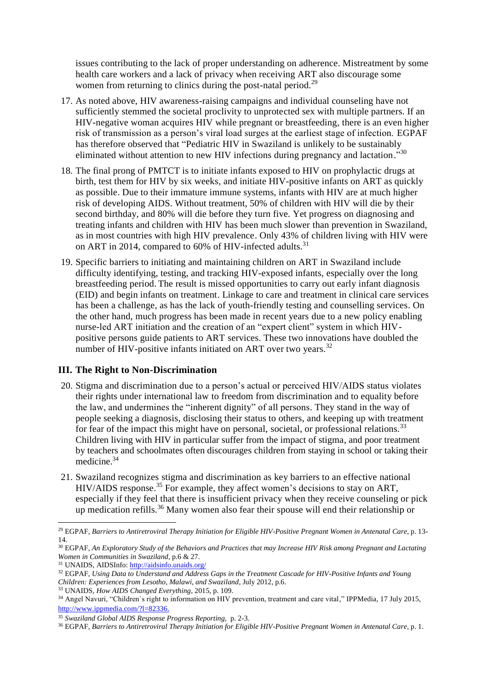issues contributing to the lack of proper understanding on adherence. Mistreatment by some health care workers and a lack of privacy when receiving ART also discourage some women from returning to clinics during the post-natal period.<sup>29</sup>

- 17. As noted above, HIV awareness-raising campaigns and individual counseling have not sufficiently stemmed the societal proclivity to unprotected sex with multiple partners. If an HIV-negative woman acquires HIV while pregnant or breastfeeding, there is an even higher risk of transmission as a person's viral load surges at the earliest stage of infection. EGPAF has therefore observed that "Pediatric HIV in Swaziland is unlikely to be sustainably eliminated without attention to new HIV infections during pregnancy and lactation."30
- 18. The final prong of PMTCT is to initiate infants exposed to HIV on prophylactic drugs at birth, test them for HIV by six weeks, and initiate HIV-positive infants on ART as quickly as possible. Due to their immature immune systems, infants with HIV are at much higher risk of developing AIDS. Without treatment, 50% of children with HIV will die by their second birthday, and 80% will die before they turn five. Yet progress on diagnosing and treating infants and children with HIV has been much slower than prevention in Swaziland, as in most countries with high HIV prevalence. Only 43% of children living with HIV were on ART in 2014, compared to  $60\%$  of HIV-infected adults.<sup>31</sup>
- 19. Specific barriers to initiating and maintaining children on ART in Swaziland include difficulty identifying, testing, and tracking HIV-exposed infants, especially over the long breastfeeding period. The result is missed opportunities to carry out early infant diagnosis (EID) and begin infants on treatment. Linkage to care and treatment in clinical care services has been a challenge, as has the lack of youth-friendly testing and counselling services. On the other hand, much progress has been made in recent years due to a new policy enabling nurse-led ART initiation and the creation of an "expert client" system in which HIVpositive persons guide patients to ART services. These two innovations have doubled the number of HIV-positive infants initiated on ART over two years.<sup>32</sup>

## **III. The Right to Non-Discrimination**

- 20. Stigma and discrimination due to a person's actual or perceived HIV/AIDS status violates their rights under international law to freedom from discrimination and to equality before the law, and undermines the "inherent dignity" of all persons. They stand in the way of people seeking a diagnosis, disclosing their status to others, and keeping up with treatment for fear of the impact this might have on personal, societal, or professional relations.<sup>33</sup> Children living with HIV in particular suffer from the impact of stigma, and poor treatment by teachers and schoolmates often discourages children from staying in school or taking their medicine.<sup>34</sup>
- 21. Swaziland recognizes stigma and discrimination as key barriers to an effective national HIV/AIDS response. <sup>35</sup> For example, they affect women's decisions to stay on ART, especially if they feel that there is insufficient privacy when they receive counseling or pick up medication refills.<sup>36</sup> Many women also fear their spouse will end their relationship or

 $\overline{\phantom{a}}$ 

<sup>29</sup> EGPAF, *Barriers to Antiretroviral Therapy Initiation for Eligible HIV-Positive Pregnant Women in Antenatal Care*, p. 13- 14.

<sup>30</sup> EGPAF, *An Exploratory Study of the Behaviors and Practices that may Increase HIV Risk among Pregnant and Lactating Women in Communities in Swaziland*, p.6 & 27.

<sup>31</sup> UNAIDS, AIDSInfo[: http://aidsinfo.unaids.org/](http://aidsinfo.unaids.org/)

<sup>32</sup> EGPAF, *Using Data to Understand and Address Gaps in the Treatment Cascade for HIV-Positive Infants and Young Children: Experiences from Lesotho, Malawi, and Swaziland*, July 2012, p.6.

<sup>33</sup> UNAIDS, *How AIDS Changed Everything*, 2015, p. 109.

<sup>&</sup>lt;sup>34</sup> Angel Navuri, "Children`s right to information on HIV prevention, treatment and care vital," IPPMedia, 17 July 2015, [http://www.ippmedia.com/?l=82336.](http://www.ippmedia.com/?l=82336)

<sup>35</sup> *Swaziland Global AIDS Response Progress Reporting,* p. 2-3.

<sup>36</sup> EGPAF, *Barriers to Antiretroviral Therapy Initiation for Eligible HIV-Positive Pregnant Women in Antenatal Care*, p. 1.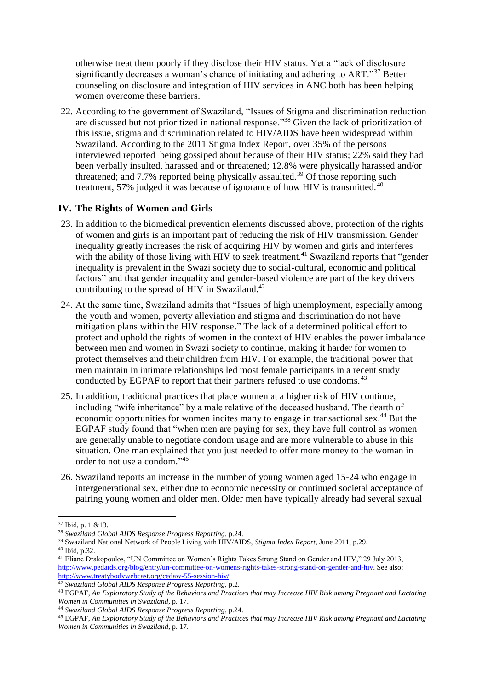otherwise treat them poorly if they disclose their HIV status. Yet a "lack of disclosure significantly decreases a woman's chance of initiating and adhering to ART."<sup>37</sup> Better counseling on disclosure and integration of HIV services in ANC both has been helping women overcome these barriers.

22. According to the government of Swaziland, "Issues of Stigma and discrimination reduction are discussed but not prioritized in national response."<sup>38</sup> Given the lack of prioritization of this issue, stigma and discrimination related to HIV/AIDS have been widespread within Swaziland. According to the 2011 Stigma Index Report, over 35% of the persons interviewed reported being gossiped about because of their HIV status; 22% said they had been verbally insulted, harassed and or threatened; 12.8% were physically harassed and/or threatened; and  $7.7\%$  reported being physically assaulted.<sup>39</sup> Of those reporting such treatment, 57% judged it was because of ignorance of how HIV is transmitted. <sup>40</sup>

## **IV. The Rights of Women and Girls**

- 23. In addition to the biomedical prevention elements discussed above, protection of the rights of women and girls is an important part of reducing the risk of HIV transmission. Gender inequality greatly increases the risk of acquiring HIV by women and girls and interferes with the ability of those living with HIV to seek treatment.<sup>41</sup> Swaziland reports that "gender inequality is prevalent in the Swazi society due to social-cultural, economic and political factors" and that gender inequality and gender-based violence are part of the key drivers contributing to the spread of HIV in Swaziland.<sup>42</sup>
- 24. At the same time, Swaziland admits that "Issues of high unemployment, especially among the youth and women, poverty alleviation and stigma and discrimination do not have mitigation plans within the HIV response." The lack of a determined political effort to protect and uphold the rights of women in the context of HIV enables the power imbalance between men and women in Swazi society to continue, making it harder for women to protect themselves and their children from HIV. For example, the traditional power that men maintain in intimate relationships led most female participants in a recent study conducted by EGPAF to report that their partners refused to use condoms.<sup>43</sup>
- 25. In addition, traditional practices that place women at a higher risk of HIV continue, including "wife inheritance" by a male relative of the deceased husband. The dearth of economic opportunities for women incites many to engage in transactional sex.<sup>44</sup> But the EGPAF study found that "when men are paying for sex, they have full control as women are generally unable to negotiate condom usage and are more vulnerable to abuse in this situation. One man explained that you just needed to offer more money to the woman in order to not use a condom." 45
- 26. Swaziland reports an increase in the number of young women aged 15-24 who engage in intergenerational sex, either due to economic necessity or continued societal acceptance of pairing young women and older men. Older men have typically already had several sexual

 $\overline{\phantom{a}}$ 

<sup>37</sup> Ibid, p. 1 &13.

<sup>38</sup> *Swaziland Global AIDS Response Progress Reporting*, p.24.

<sup>39</sup> Swaziland National Network of People Living with HIV/AIDS, *Stigma Index Report*, June 2011, p.29. <sup>40</sup> Ibid, p.32.

<sup>41</sup> Eliane Drakopoulos, "UN Committee on Women's Rights Takes Strong Stand on Gender and HIV," 29 July 2013, [http://www.pedaids.org/blog/entry/un-committee-on-womens-rights-takes-strong-stand-on-gender-and-hiv.](http://www.pedaids.org/blog/entry/un-committee-on-womens-rights-takes-strong-stand-on-gender-and-hiv) See also: [http://www.treatybodywebcast.org/cedaw-55-session-hiv/.](http://www.treatybodywebcast.org/cedaw-55-session-hiv/) 

<sup>42</sup> *Swaziland Global AIDS Response Progress Reporting*, p.2.

<sup>43</sup> EGPAF, *An Exploratory Study of the Behaviors and Practices that may Increase HIV Risk among Pregnant and Lactating Women in Communities in Swaziland*, p. 17.

<sup>44</sup> *Swaziland Global AIDS Response Progress Reporting*, p.24.

<sup>45</sup> EGPAF, *An Exploratory Study of the Behaviors and Practices that may Increase HIV Risk among Pregnant and Lactating Women in Communities in Swaziland*, p. 17.